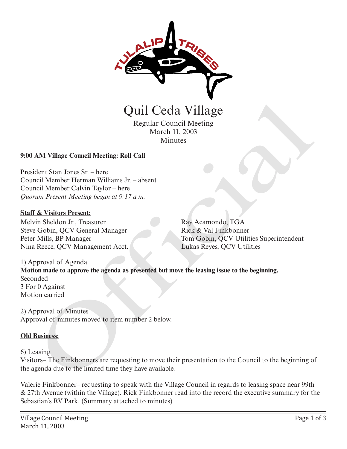

Regular Council Meeting March 11, 2003 **Minutes** 

## **9:00 AM Village Council Meeting: Roll Call**

President Stan Jones Sr. – here Council Member Herman Williams Jr. – absent Council Member Calvin Taylor – here *Quorum Present Meeting began at 9:17 a.m.* 

### **Staff & Visitors Present:**

Melvin Sheldon Jr., Treasurer Steve Gobin, QCV General Manager Peter Mills, BP Manager Nina Reece, QCV Management Acct. Ray Acamondo, TGA Rick & Val Finkbonner Tom Gobin, QCV Utilities Superintendent Lukas Reyes, QCV Utilities

1) Approval of Agenda **Motion made to approve the agenda as presented but move the leasing issue to the beginning.** Seconded 3 For 0 Against Motion carried Quil Ceda Village<br>
Regular Council Meeting<br>
March 11, 2003<br>
Minutes<br>
March 11, 2003<br>
Minutes<br>
March 11, 2003<br>
Minutes<br>
Colom Occa Sr. – here<br>
here Calvin Taylor – here<br>
here Calvin Taylor – here<br>
in Present Meeting began a

2) Approval of Minutes Approval of minutes moved to item number 2 below.

#### **Old Business:**

#### 6) Leasing

Visitors– The Finkbonners are requesting to move their presentation to the Council to the beginning of the agenda due to the limited time they have available.

Valerie Finkbonner– requesting to speak with the Village Council in regards to leasing space near 99th & 27th Avenue (within the Village). Rick Finkbonner read into the record the executive summary for the Sebastian's RV Park. (Summary attached to minutes)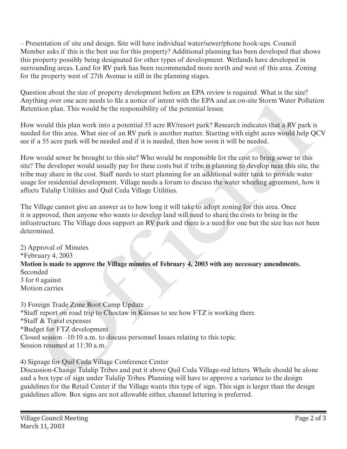– Presentation of site and design. Site will have individual water/sewer/phone hook-ups. Council Member asks if this is the best use for this property? Additional planning has been developed that shows this property possibly being designated for other types of development. Wetlands have developed in surrounding areas. Land for RV park has been recommended more north and west of this area. Zoning for the property west of 27th Avenue is still in the planning stages.

Question about the size of property development before an EPA review is required. What is the size? Anything over one acre needs to file a notice of intent with the EPA and an on-site Storm Water Pollution Retention plan. This would be the responsibility of the potential lessee.

How would this plan work into a potential 55 acre RV/resort park? Research indicates that a RV park is needed for this area. What size of an RV park is another matter. Starting with eight acres would help QCV see if a 55 acre park will be needed and if it is needed, then how soon it will be needed.

How would sewer be brought to this site? Who would be responsible for the cost to bring sewer to this site? The developer would usually pay for these costs but if tribe is planning to develop near this site, the tribe may share in the cost. Staff needs to start planning for an additional water tank to provide water usage for residential development. Village needs a forum to discuss the water wheeling agreement, how it affects Tulalip Utilities and Quil Ceda Village Utilities.

The Village cannot give an answer as to how long it will take to adopt zoning for this area. Once it is approved, then anyone who wants to develop land will need to share the costs to bring in the infrastructure. The Village does support an RV park and there is a need for one but the size has not been determined.

2) Approval of Minutes \*February 4, 2003 **Motion is made to approve the Village minutes of February 4, 2003 with any necessary amendments.** Seconded 3 for 0 against Motion carries ming over one are needs to mea anothe of meth wint has hirdly and an on-site storm water romin<br>mion plan. This would be the responsibility of the potential lessee.<br>Would list plan work into a potential 55 acre RV/resort pa

3) Foreign Trade Zone Boot Camp Update \*Staff report on road trip to Choctaw in Kansas to see how FTZ is working there. \*Staff & Travel expenses \*Budget for FTZ development Closed session –10:10 a.m. to discuss personnel Issues relating to this topic. Session resumed at 11:30 a.m.

4) Signage for Quil Ceda Village Conference Center

Discussion-Change Tulalip Tribes and put it above Quil Ceda Village-red letters. Whale should be alone and a box type of sign under Tulalip Tribes. Planning will have to approve a variance to the design guidelines for the Retail Center if the Village wants this type of sign. This sign is larger than the design guidelines allow. Box signs are not allowable either, channel lettering is preferred.